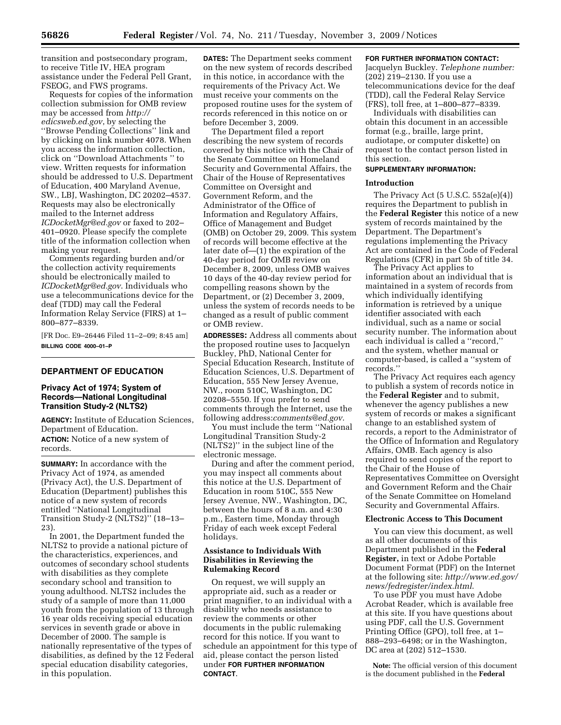transition and postsecondary program, to receive Title IV, HEA program assistance under the Federal Pell Grant, FSEOG, and FWS programs.

Requests for copies of the information collection submission for OMB review may be accessed from *http:// edicsweb.ed.gov*, by selecting the ''Browse Pending Collections'' link and by clicking on link number 4078. When you access the information collection, click on ''Download Attachments '' to view. Written requests for information should be addressed to U.S. Department of Education, 400 Maryland Avenue, SW., LBJ, Washington, DC 20202–4537. Requests may also be electronically mailed to the Internet address *ICDocketMgr@ed.gov* or faxed to 202– 401–0920. Please specify the complete title of the information collection when making your request.

Comments regarding burden and/or the collection activity requirements should be electronically mailed to *ICDocketMgr@ed.gov*. Individuals who use a telecommunications device for the deaf (TDD) may call the Federal Information Relay Service (FIRS) at 1– 800–877–8339.

[FR Doc. E9–26446 Filed 11–2–09; 8:45 am] **BILLING CODE 4000–01–P** 

# **DEPARTMENT OF EDUCATION**

# **Privacy Act of 1974; System of Records—National Longitudinal Transition Study-2 (NLTS2)**

**AGENCY:** Institute of Education Sciences, Department of Education. **ACTION:** Notice of a new system of records.

**SUMMARY:** In accordance with the Privacy Act of 1974, as amended (Privacy Act), the U.S. Department of Education (Department) publishes this notice of a new system of records entitled ''National Longitudinal Transition Study-2 (NLTS2)'' (18–13– 23).

In 2001, the Department funded the NLTS2 to provide a national picture of the characteristics, experiences, and outcomes of secondary school students with disabilities as they complete secondary school and transition to young adulthood. NLTS2 includes the study of a sample of more than 11,000 youth from the population of 13 through 16 year olds receiving special education services in seventh grade or above in December of 2000. The sample is nationally representative of the types of disabilities, as defined by the 12 Federal special education disability categories, in this population.

**DATES:** The Department seeks comment on the new system of records described in this notice, in accordance with the requirements of the Privacy Act. We must receive your comments on the proposed routine uses for the system of records referenced in this notice on or before December 3, 2009.

The Department filed a report describing the new system of records covered by this notice with the Chair of the Senate Committee on Homeland Security and Governmental Affairs, the Chair of the House of Representatives Committee on Oversight and Government Reform, and the Administrator of the Office of Information and Regulatory Affairs, Office of Management and Budget (OMB) on October 29, 2009. This system of records will become effective at the later date of—(1) the expiration of the 40-day period for OMB review on December 8, 2009, unless OMB waives 10 days of the 40-day review period for compelling reasons shown by the Department, or (2) December 3, 2009, unless the system of records needs to be changed as a result of public comment or OMB review.

**ADDRESSES:** Address all comments about the proposed routine uses to Jacquelyn Buckley, PhD, National Center for Special Education Research, Institute of Education Sciences, U.S. Department of Education, 555 New Jersey Avenue, NW., room 510C, Washington, DC 20208–5550. If you prefer to send comments through the Internet, use the following address:*comments@ed.gov*.

You must include the term ''National Longitudinal Transition Study-2 (NLTS2)'' in the subject line of the electronic message.

During and after the comment period, you may inspect all comments about this notice at the U.S. Department of Education in room 510C, 555 New Jersey Avenue, NW., Washington, DC, between the hours of 8 a.m. and 4:30 p.m., Eastern time, Monday through Friday of each week except Federal holidays.

# **Assistance to Individuals With Disabilities in Reviewing the Rulemaking Record**

On request, we will supply an appropriate aid, such as a reader or print magnifier, to an individual with a disability who needs assistance to review the comments or other documents in the public rulemaking record for this notice. If you want to schedule an appointment for this type of aid, please contact the person listed under **FOR FURTHER INFORMATION CONTACT**.

# **FOR FURTHER INFORMATION CONTACT:**

Jacquelyn Buckley. *Telephone number:*  (202) 219–2130. If you use a telecommunications device for the deaf (TDD), call the Federal Relay Service (FRS), toll free, at 1–800–877–8339.

Individuals with disabilities can obtain this document in an accessible format (e.g., braille, large print, audiotape, or computer diskette) on request to the contact person listed in this section.

# **SUPPLEMENTARY INFORMATION:**

#### **Introduction**

The Privacy Act (5 U.S.C. 552a(e)(4)) requires the Department to publish in the **Federal Register** this notice of a new system of records maintained by the Department. The Department's regulations implementing the Privacy Act are contained in the Code of Federal Regulations (CFR) in part 5b of title 34.

The Privacy Act applies to information about an individual that is maintained in a system of records from which individually identifying information is retrieved by a unique identifier associated with each individual, such as a name or social security number. The information about each individual is called a ''record,'' and the system, whether manual or computer-based, is called a ''system of records.''

The Privacy Act requires each agency to publish a system of records notice in the **Federal Register** and to submit, whenever the agency publishes a new system of records or makes a significant change to an established system of records, a report to the Administrator of the Office of Information and Regulatory Affairs, OMB. Each agency is also required to send copies of the report to the Chair of the House of Representatives Committee on Oversight and Government Reform and the Chair of the Senate Committee on Homeland Security and Governmental Affairs.

#### **Electronic Access to This Document**

You can view this document, as well as all other documents of this Department published in the **Federal Register,** in text or Adobe Portable Document Format (PDF) on the Internet at the following site: *http://www.ed.gov/ news/fedregister/index.html*.

To use PDF you must have Adobe Acrobat Reader, which is available free at this site. If you have questions about using PDF, call the U.S. Government Printing Office (GPO), toll free, at 1– 888–293–6498; or in the Washington, DC area at (202) 512–1530.

**Note:** The official version of this document is the document published in the **Federal**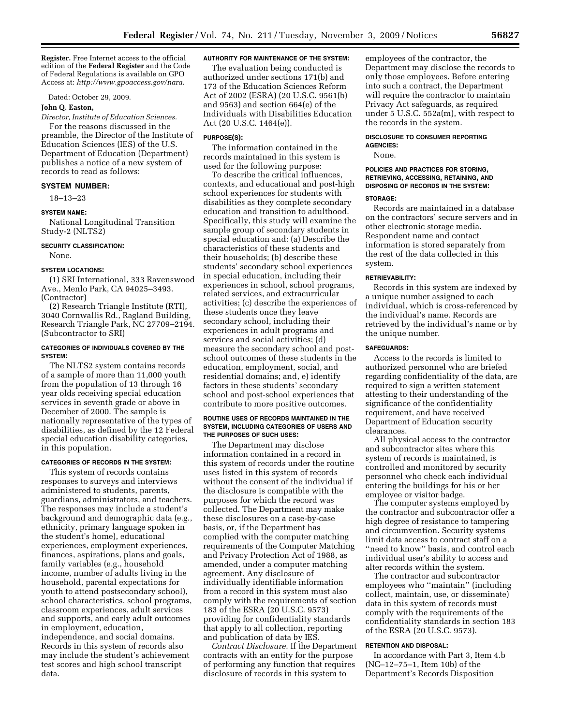**Register.** Free Internet access to the official edition of the **Federal Register** and the Code of Federal Regulations is available on GPO Access at: *http://www.gpoaccess.gov/nara.* 

Dated: October 29, 2009.

### **John Q. Easton,**

*Director, Institute of Education Sciences.*  For the reasons discussed in the preamble, the Director of the Institute of Education Sciences (IES) of the U.S. Department of Education (Department) publishes a notice of a new system of records to read as follows:

# **SYSTEM NUMBER:**

18–13–23

#### **SYSTEM NAME:**

National Longitudinal Transition Study-2 (NLTS2)

# **SECURITY CLASSIFICATION:**

None.

### **SYSTEM LOCATIONS:**

(1) SRI International, 333 Ravenswood Ave., Menlo Park, CA 94025–3493. (Contractor)

(2) Research Triangle Institute (RTI), 3040 Cornwallis Rd., Ragland Building, Research Triangle Park, NC 27709–2194. (Subcontractor to SRI)

### **CATEGORIES OF INDIVIDUALS COVERED BY THE SYSTEM:**

The NLTS2 system contains records of a sample of more than 11,000 youth from the population of 13 through 16 year olds receiving special education services in seventh grade or above in December of 2000. The sample is nationally representative of the types of disabilities, as defined by the 12 Federal special education disability categories, in this population.

## **CATEGORIES OF RECORDS IN THE SYSTEM:**

This system of records contains responses to surveys and interviews administered to students, parents, guardians, administrators, and teachers. The responses may include a student's background and demographic data (e.g., ethnicity, primary language spoken in the student's home), educational experiences, employment experiences, finances, aspirations, plans and goals, family variables (e.g., household income, number of adults living in the household, parental expectations for youth to attend postsecondary school), school characteristics, school programs, classroom experiences, adult services and supports, and early adult outcomes in employment, education, independence, and social domains. Records in this system of records also may include the student's achievement test scores and high school transcript data.

# **AUTHORITY FOR MAINTENANCE OF THE SYSTEM:**

The evaluation being conducted is authorized under sections 171(b) and 173 of the Education Sciences Reform Act of 2002 (ESRA) (20 U.S.C. 9561(b) and 9563) and section 664(e) of the Individuals with Disabilities Education Act (20 U.S.C. 1464(e)).

#### **PURPOSE(S):**

The information contained in the records maintained in this system is used for the following purpose:

To describe the critical influences, contexts, and educational and post-high school experiences for students with disabilities as they complete secondary education and transition to adulthood. Specifically, this study will examine the sample group of secondary students in special education and: (a) Describe the characteristics of these students and their households; (b) describe these students' secondary school experiences in special education, including their experiences in school, school programs, related services, and extracurricular activities; (c) describe the experiences of these students once they leave secondary school, including their experiences in adult programs and services and social activities; (d) measure the secondary school and postschool outcomes of these students in the education, employment, social, and residential domains; and, e) identify factors in these students' secondary school and post-school experiences that contribute to more positive outcomes.

#### **ROUTINE USES OF RECORDS MAINTAINED IN THE SYSTEM, INCLUDING CATEGORIES OF USERS AND THE PURPOSES OF SUCH USES:**

The Department may disclose information contained in a record in this system of records under the routine uses listed in this system of records without the consent of the individual if the disclosure is compatible with the purposes for which the record was collected. The Department may make these disclosures on a case-by-case basis, or, if the Department has complied with the computer matching requirements of the Computer Matching and Privacy Protection Act of 1988, as amended, under a computer matching agreement. Any disclosure of individually identifiable information from a record in this system must also comply with the requirements of section 183 of the ESRA (20 U.S.C. 9573) providing for confidentiality standards that apply to all collection, reporting and publication of data by IES.

*Contract Disclosure.* If the Department contracts with an entity for the purpose of performing any function that requires disclosure of records in this system to

employees of the contractor, the Department may disclose the records to only those employees. Before entering into such a contract, the Department will require the contractor to maintain Privacy Act safeguards, as required under 5 U.S.C. 552a(m), with respect to the records in the system.

#### **DISCLOSURE TO CONSUMER REPORTING AGENCIES:**

None.

## **POLICIES AND PRACTICES FOR STORING, RETRIEVING, ACCESSING, RETAINING, AND DISPOSING OF RECORDS IN THE SYSTEM: STORAGE:**

Records are maintained in a database on the contractors' secure servers and in other electronic storage media. Respondent name and contact information is stored separately from the rest of the data collected in this system.

#### **RETRIEVABILITY:**

Records in this system are indexed by a unique number assigned to each individual, which is cross-referenced by the individual's name. Records are retrieved by the individual's name or by the unique number.

#### **SAFEGUARDS:**

Access to the records is limited to authorized personnel who are briefed regarding confidentiality of the data, are required to sign a written statement attesting to their understanding of the significance of the confidentiality requirement, and have received Department of Education security clearances.

All physical access to the contractor and subcontractor sites where this system of records is maintained, is controlled and monitored by security personnel who check each individual entering the buildings for his or her employee or visitor badge.

The computer systems employed by the contractor and subcontractor offer a high degree of resistance to tampering and circumvention. Security systems limit data access to contract staff on a ''need to know'' basis, and control each individual user's ability to access and alter records within the system.

The contractor and subcontractor employees who ''maintain'' (including collect, maintain, use, or disseminate) data in this system of records must comply with the requirements of the confidentiality standards in section 183 of the ESRA (20 U.S.C. 9573).

## **RETENTION AND DISPOSAL:**

In accordance with Part 3, Item 4.b (NC–12–75–1, Item 10b) of the Department's Records Disposition